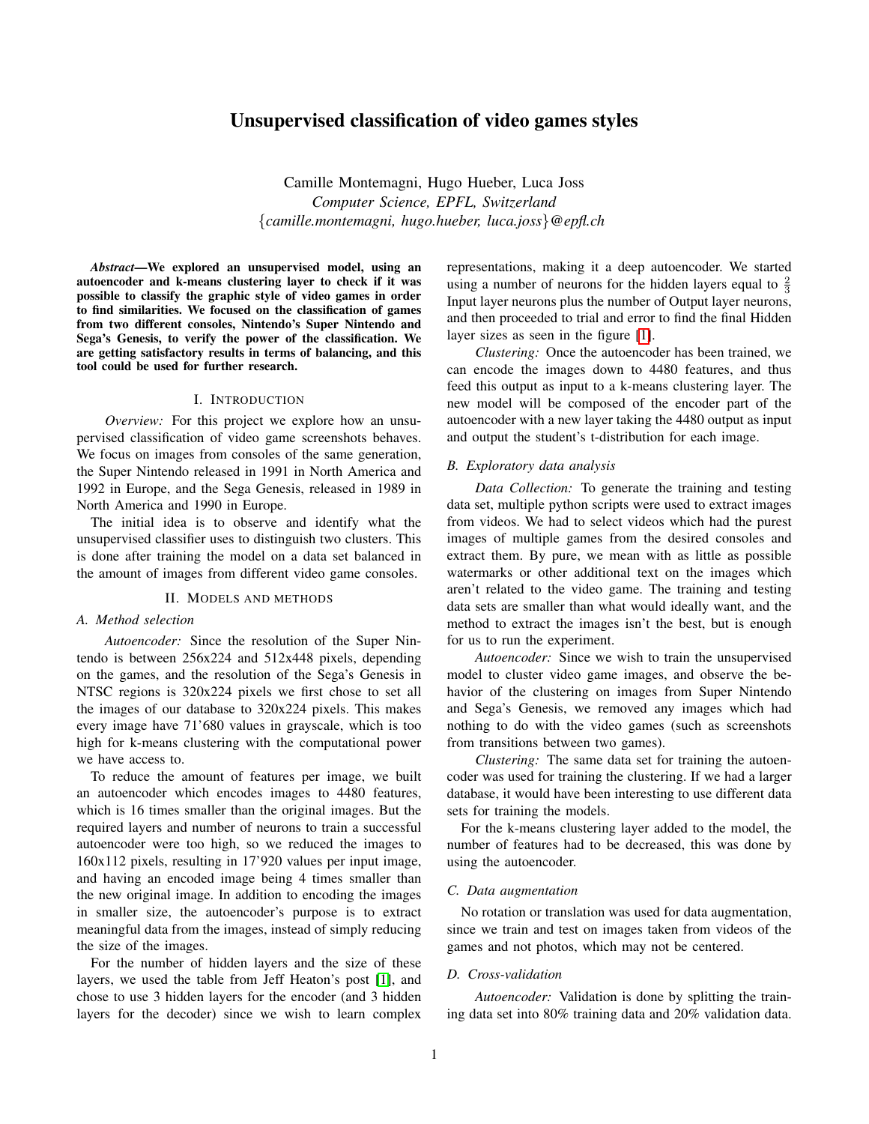# Unsupervised classification of video games styles

Camille Montemagni, Hugo Hueber, Luca Joss *Computer Science, EPFL, Switzerland* {*camille.montemagni, hugo.hueber, luca.joss*}*@epfl.ch*

*Abstract*—We explored an unsupervised model, using an autoencoder and k-means clustering layer to check if it was possible to classify the graphic style of video games in order to find similarities. We focused on the classification of games from two different consoles, Nintendo's Super Nintendo and Sega's Genesis, to verify the power of the classification. We are getting satisfactory results in terms of balancing, and this tool could be used for further research.

#### I. INTRODUCTION

*Overview:* For this project we explore how an unsupervised classification of video game screenshots behaves. We focus on images from consoles of the same generation, the Super Nintendo released in 1991 in North America and 1992 in Europe, and the Sega Genesis, released in 1989 in North America and 1990 in Europe.

The initial idea is to observe and identify what the unsupervised classifier uses to distinguish two clusters. This is done after training the model on a data set balanced in the amount of images from different video game consoles.

## II. MODELS AND METHODS

## <span id="page-0-0"></span>*A. Method selection*

*Autoencoder:* Since the resolution of the Super Nintendo is between 256x224 and 512x448 pixels, depending on the games, and the resolution of the Sega's Genesis in NTSC regions is 320x224 pixels we first chose to set all the images of our database to 320x224 pixels. This makes every image have 71'680 values in grayscale, which is too high for k-means clustering with the computational power we have access to.

To reduce the amount of features per image, we built an autoencoder which encodes images to 4480 features, which is 16 times smaller than the original images. But the required layers and number of neurons to train a successful autoencoder were too high, so we reduced the images to 160x112 pixels, resulting in 17'920 values per input image, and having an encoded image being 4 times smaller than the new original image. In addition to encoding the images in smaller size, the autoencoder's purpose is to extract meaningful data from the images, instead of simply reducing the size of the images.

For the number of hidden layers and the size of these layers, we used the table from Jeff Heaton's post [\[1\]](#page-3-0), and chose to use 3 hidden layers for the encoder (and 3 hidden layers for the decoder) since we wish to learn complex representations, making it a deep autoencoder. We started using a number of neurons for the hidden layers equal to  $\frac{2}{3}$ Input layer neurons plus the number of Output layer neurons, and then proceeded to trial and error to find the final Hidden layer sizes as seen in the figure [\[1\]](#page-1-0).

*Clustering:* Once the autoencoder has been trained, we can encode the images down to 4480 features, and thus feed this output as input to a k-means clustering layer. The new model will be composed of the encoder part of the autoencoder with a new layer taking the 4480 output as input and output the student's t-distribution for each image.

## *B. Exploratory data analysis*

*Data Collection:* To generate the training and testing data set, multiple python scripts were used to extract images from videos. We had to select videos which had the purest images of multiple games from the desired consoles and extract them. By pure, we mean with as little as possible watermarks or other additional text on the images which aren't related to the video game. The training and testing data sets are smaller than what would ideally want, and the method to extract the images isn't the best, but is enough for us to run the experiment.

*Autoencoder:* Since we wish to train the unsupervised model to cluster video game images, and observe the behavior of the clustering on images from Super Nintendo and Sega's Genesis, we removed any images which had nothing to do with the video games (such as screenshots from transitions between two games).

*Clustering:* The same data set for training the autoencoder was used for training the clustering. If we had a larger database, it would have been interesting to use different data sets for training the models.

For the k-means clustering layer added to the model, the number of features had to be decreased, this was done by using the autoencoder.

#### *C. Data augmentation*

No rotation or translation was used for data augmentation, since we train and test on images taken from videos of the games and not photos, which may not be centered.

## *D. Cross-validation*

*Autoencoder:* Validation is done by splitting the training data set into 80% training data and 20% validation data.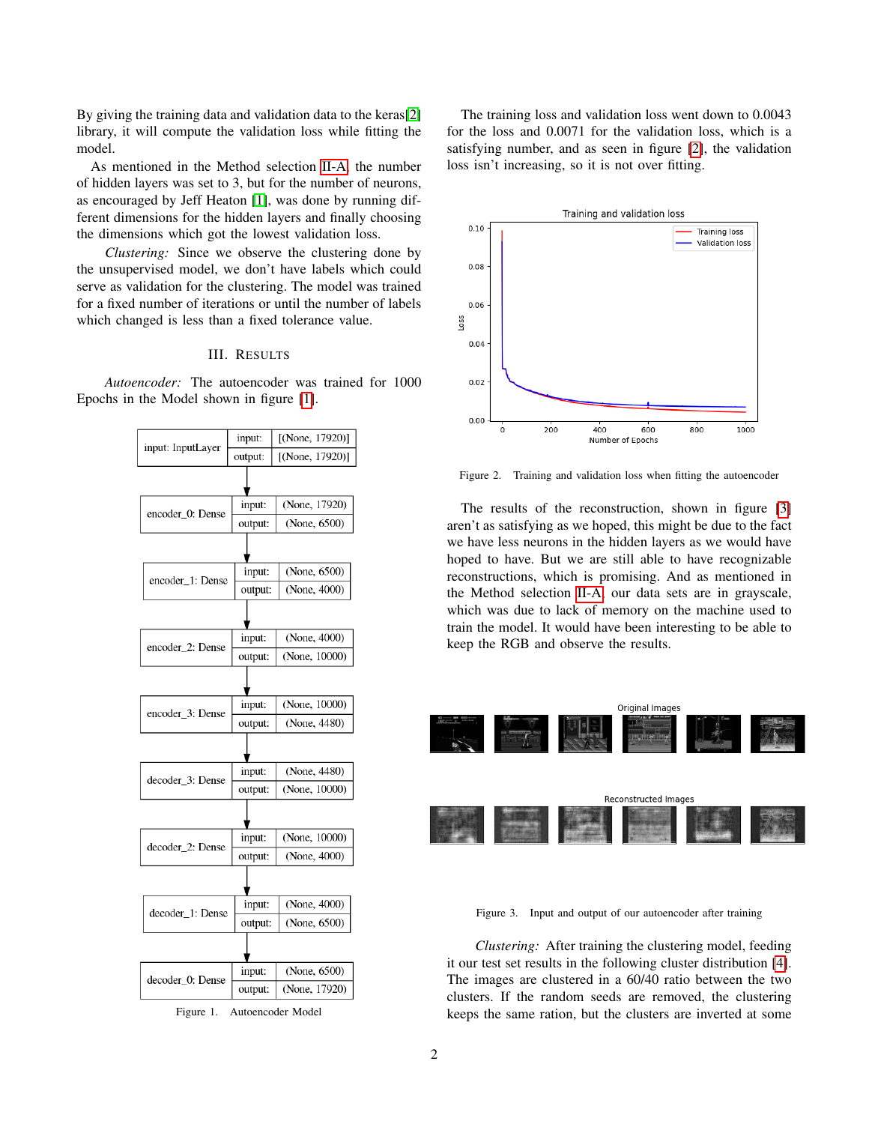By giving the training data and validation data to the keras[\[2\]](#page-3-1) library, it will compute the validation loss while fitting the model.

As mentioned in the Method selection [II-A,](#page-0-0) the number of hidden layers was set to 3, but for the number of neurons, as encouraged by Jeff Heaton [\[1\]](#page-3-0), was done by running different dimensions for the hidden layers and finally choosing the dimensions which got the lowest validation loss.

*Clustering:* Since we observe the clustering done by the unsupervised model, we don't have labels which could serve as validation for the clustering. The model was trained for a fixed number of iterations or until the number of labels which changed is less than a fixed tolerance value.

#### III. RESULTS

*Autoencoder:* The autoencoder was trained for 1000 Epochs in the Model shown in figure [\[1\]](#page-1-0).



<span id="page-1-0"></span>Figure 1. Autoencoder Model

The training loss and validation loss went down to 0.0043 for the loss and 0.0071 for the validation loss, which is a satisfying number, and as seen in figure [\[2\]](#page-1-1), the validation loss isn't increasing, so it is not over fitting.



<span id="page-1-1"></span>Figure 2. Training and validation loss when fitting the autoencoder

The results of the reconstruction, shown in figure [\[3\]](#page-1-2) aren't as satisfying as we hoped, this might be due to the fact we have less neurons in the hidden layers as we would have hoped to have. But we are still able to have recognizable reconstructions, which is promising. And as mentioned in the Method selection [II-A,](#page-0-0) our data sets are in grayscale, which was due to lack of memory on the machine used to train the model. It would have been interesting to be able to keep the RGB and observe the results.



Figure 3. Input and output of our autoencoder after training

<span id="page-1-2"></span>*Clustering:* After training the clustering model, feeding it our test set results in the following cluster distribution [\[4\]](#page-2-0). The images are clustered in a 60/40 ratio between the two clusters. If the random seeds are removed, the clustering keeps the same ration, but the clusters are inverted at some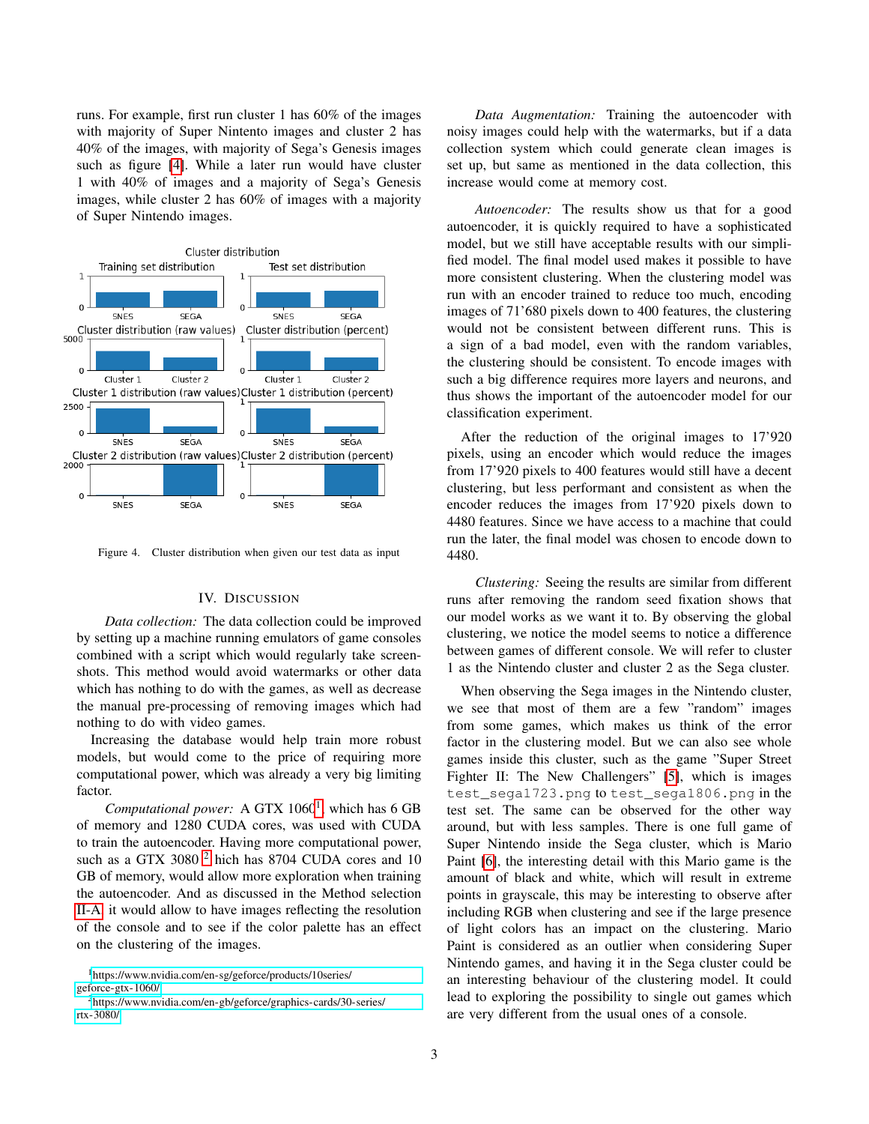runs. For example, first run cluster 1 has 60% of the images with majority of Super Nintento images and cluster 2 has 40% of the images, with majority of Sega's Genesis images such as figure [\[4\]](#page-2-0). While a later run would have cluster 1 with 40% of images and a majority of Sega's Genesis images, while cluster 2 has 60% of images with a majority of Super Nintendo images.



<span id="page-2-0"></span>Figure 4. Cluster distribution when given our test data as input

# IV. DISCUSSION

*Data collection:* The data collection could be improved by setting up a machine running emulators of game consoles combined with a script which would regularly take screenshots. This method would avoid watermarks or other data which has nothing to do with the games, as well as decrease the manual pre-processing of removing images which had nothing to do with video games.

Increasing the database would help train more robust models, but would come to the price of requiring more computational power, which was already a very big limiting factor.

Computational power: A GTX  $1060<sup>1</sup>$  $1060<sup>1</sup>$ , which has 6 GB of memory and 1280 CUDA cores, was used with CUDA to train the autoencoder. Having more computational power, such as a GTX 3080<sup>[2](#page-2-2)</sup> hich has 8704 CUDA cores and 10 GB of memory, would allow more exploration when training the autoencoder. And as discussed in the Method selection [II-A,](#page-0-0) it would allow to have images reflecting the resolution of the console and to see if the color palette has an effect on the clustering of the images.

*Data Augmentation:* Training the autoencoder with noisy images could help with the watermarks, but if a data collection system which could generate clean images is set up, but same as mentioned in the data collection, this increase would come at memory cost.

*Autoencoder:* The results show us that for a good autoencoder, it is quickly required to have a sophisticated model, but we still have acceptable results with our simplified model. The final model used makes it possible to have more consistent clustering. When the clustering model was run with an encoder trained to reduce too much, encoding images of 71'680 pixels down to 400 features, the clustering would not be consistent between different runs. This is a sign of a bad model, even with the random variables, the clustering should be consistent. To encode images with such a big difference requires more layers and neurons, and thus shows the important of the autoencoder model for our classification experiment.

After the reduction of the original images to 17'920 pixels, using an encoder which would reduce the images from 17'920 pixels to 400 features would still have a decent clustering, but less performant and consistent as when the encoder reduces the images from 17'920 pixels down to 4480 features. Since we have access to a machine that could run the later, the final model was chosen to encode down to 4480.

*Clustering:* Seeing the results are similar from different runs after removing the random seed fixation shows that our model works as we want it to. By observing the global clustering, we notice the model seems to notice a difference between games of different console. We will refer to cluster 1 as the Nintendo cluster and cluster 2 as the Sega cluster.

When observing the Sega images in the Nintendo cluster, we see that most of them are a few "random" images from some games, which makes us think of the error factor in the clustering model. But we can also see whole games inside this cluster, such as the game "Super Street Fighter II: The New Challengers" [\[5\]](#page-3-2), which is images test\_sega1723.png to test\_sega1806.png in the test set. The same can be observed for the other way around, but with less samples. There is one full game of Super Nintendo inside the Sega cluster, which is Mario Paint [\[6\]](#page-3-3), the interesting detail with this Mario game is the amount of black and white, which will result in extreme points in grayscale, this may be interesting to observe after including RGB when clustering and see if the large presence of light colors has an impact on the clustering. Mario Paint is considered as an outlier when considering Super Nintendo games, and having it in the Sega cluster could be an interesting behaviour of the clustering model. It could lead to exploring the possibility to single out games which are very different from the usual ones of a console.

<span id="page-2-1"></span><sup>1</sup>[https://www.nvidia.com/en-sg/geforce/products/10series/](https://www.nvidia.com/en-sg/geforce/products/10series/geforce-gtx-1060/) [geforce-gtx-1060/](https://www.nvidia.com/en-sg/geforce/products/10series/geforce-gtx-1060/)

<span id="page-2-2"></span><sup>2</sup>[https://www.nvidia.com/en-gb/geforce/graphics-cards/30-series/](https://www.nvidia.com/en-gb/geforce/graphics-cards/30-series/rtx-3080/) [rtx-3080/](https://www.nvidia.com/en-gb/geforce/graphics-cards/30-series/rtx-3080/)